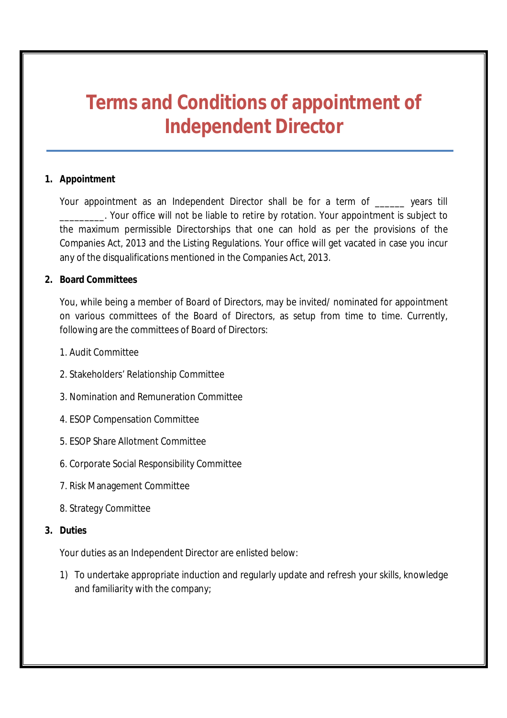# **Terms and Conditions of appointment of Independent Director**

# **1. Appointment**

Your appointment as an Independent Director shall be for a term of \_\_\_\_\_ years till **\_\_\_\_\_\_\_\_**. Your office will not be liable to retire by rotation. Your appointment is subject to the maximum permissible Directorships that one can hold as per the provisions of the Companies Act, 2013 and the Listing Regulations. Your office will get vacated in case you incur any of the disqualifications mentioned in the Companies Act, 2013.

# **2. Board Committees**

You, while being a member of Board of Directors, may be invited/ nominated for appointment on various committees of the Board of Directors, as setup from time to time. Currently, following are the committees of Board of Directors:

- 1. Audit Committee
- 2. Stakeholders' Relationship Committee
- 3. Nomination and Remuneration Committee
- 4. ESOP Compensation Committee
- 5. ESOP Share Allotment Committee
- 6. Corporate Social Responsibility Committee
- 7. Risk Management Committee
- 8. Strategy Committee

# **3. Duties**

Your duties as an Independent Director are enlisted below:

1) To undertake appropriate induction and regularly update and refresh your skills, knowledge and familiarity with the company;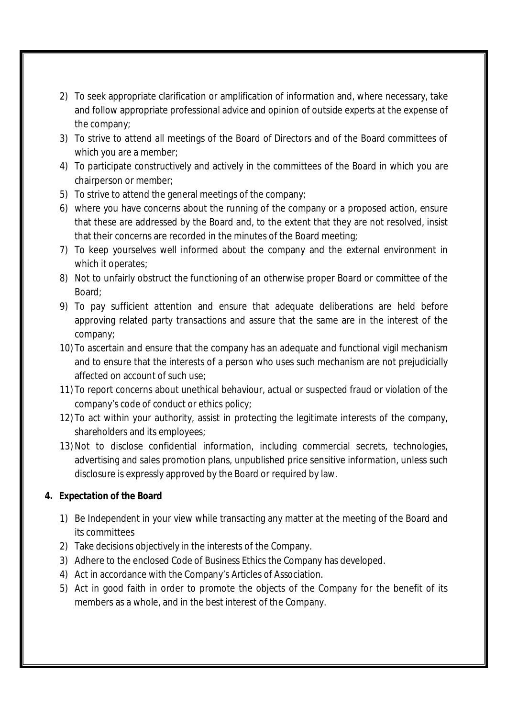- 2) To seek appropriate clarification or amplification of information and, where necessary, take and follow appropriate professional advice and opinion of outside experts at the expense of the company;
- 3) To strive to attend all meetings of the Board of Directors and of the Board committees of which you are a member;
- 4) To participate constructively and actively in the committees of the Board in which you are chairperson or member;
- 5) To strive to attend the general meetings of the company;
- 6) where you have concerns about the running of the company or a proposed action, ensure that these are addressed by the Board and, to the extent that they are not resolved, insist that their concerns are recorded in the minutes of the Board meeting;
- 7) To keep yourselves well informed about the company and the external environment in which it operates;
- 8) Not to unfairly obstruct the functioning of an otherwise proper Board or committee of the Board;
- 9) To pay sufficient attention and ensure that adequate deliberations are held before approving related party transactions and assure that the same are in the interest of the company;
- 10) To ascertain and ensure that the company has an adequate and functional vigil mechanism and to ensure that the interests of a person who uses such mechanism are not prejudicially affected on account of such use;
- 11) To report concerns about unethical behaviour, actual or suspected fraud or violation of the company's code of conduct or ethics policy;
- 12) To act within your authority, assist in protecting the legitimate interests of the company, shareholders and its employees;
- 13)Not to disclose confidential information, including commercial secrets, technologies, advertising and sales promotion plans, unpublished price sensitive information, unless such disclosure is expressly approved by the Board or required by law.

# **4. Expectation of the Board**

- 1) Be Independent in your view while transacting any matter at the meeting of the Board and its committees
- 2) Take decisions objectively in the interests of the Company.
- 3) Adhere to the enclosed Code of Business Ethics the Company has developed.
- 4) Act in accordance with the Company's Articles of Association.
- 5) Act in good faith in order to promote the objects of the Company for the benefit of its members as a whole, and in the best interest of the Company.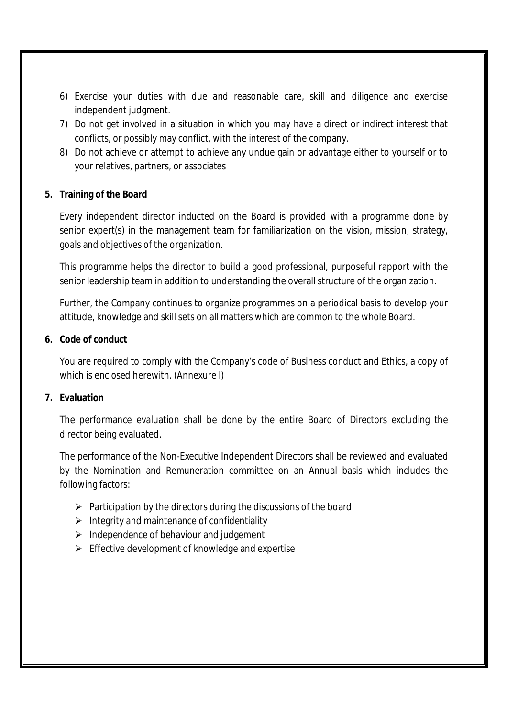- 6) Exercise your duties with due and reasonable care, skill and diligence and exercise independent judgment.
- 7) Do not get involved in a situation in which you may have a direct or indirect interest that conflicts, or possibly may conflict, with the interest of the company.
- 8) Do not achieve or attempt to achieve any undue gain or advantage either to yourself or to your relatives, partners, or associates

# **5. Training of the Board**

Every independent director inducted on the Board is provided with a programme done by senior expert(s) in the management team for familiarization on the vision, mission, strategy, goals and objectives of the organization.

This programme helps the director to build a good professional, purposeful rapport with the senior leadership team in addition to understanding the overall structure of the organization.

Further, the Company continues to organize programmes on a periodical basis to develop your attitude, knowledge and skill sets on all matters which are common to the whole Board.

# **6. Code of conduct**

You are required to comply with the Company's code of Business conduct and Ethics, a copy of which is enclosed herewith. (Annexure I)

# **7. Evaluation**

The performance evaluation shall be done by the entire Board of Directors excluding the director being evaluated.

The performance of the Non-Executive Independent Directors shall be reviewed and evaluated by the Nomination and Remuneration committee on an Annual basis which includes the following factors:

- $\triangleright$  Participation by the directors during the discussions of the board
- $\triangleright$  Integrity and maintenance of confidentiality
- $\triangleright$  Independence of behaviour and judgement
- $\triangleright$  Effective development of knowledge and expertise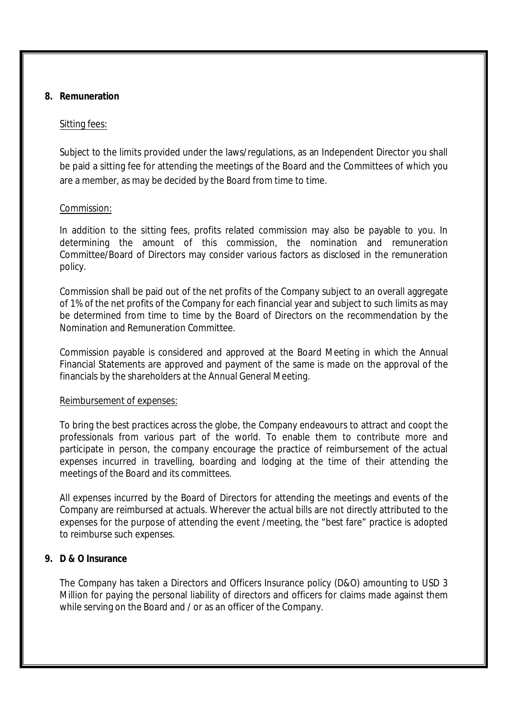#### **8. Remuneration**

#### Sitting fees:

Subject to the limits provided under the laws/regulations, as an Independent Director you shall be paid a sitting fee for attending the meetings of the Board and the Committees of which you are a member, as may be decided by the Board from time to time.

#### Commission:

In addition to the sitting fees, profits related commission may also be payable to you. In determining the amount of this commission, the nomination and remuneration Committee/Board of Directors may consider various factors as disclosed in the remuneration policy.

Commission shall be paid out of the net profits of the Company subject to an overall aggregate of 1% of the net profits of the Company for each financial year and subject to such limits as may be determined from time to time by the Board of Directors on the recommendation by the Nomination and Remuneration Committee.

Commission payable is considered and approved at the Board Meeting in which the Annual Financial Statements are approved and payment of the same is made on the approval of the financials by the shareholders at the Annual General Meeting.

#### Reimbursement of expenses:

To bring the best practices across the globe, the Company endeavours to attract and coopt the professionals from various part of the world. To enable them to contribute more and participate in person, the company encourage the practice of reimbursement of the actual expenses incurred in travelling, boarding and lodging at the time of their attending the meetings of the Board and its committees.

All expenses incurred by the Board of Directors for attending the meetings and events of the Company are reimbursed at actuals. Wherever the actual bills are not directly attributed to the expenses for the purpose of attending the event /meeting, the "best fare" practice is adopted to reimburse such expenses.

# **9. D & O Insurance**

The Company has taken a Directors and Officers Insurance policy (D&O) amounting to USD 3 Million for paying the personal liability of directors and officers for claims made against them while serving on the Board and / or as an officer of the Company.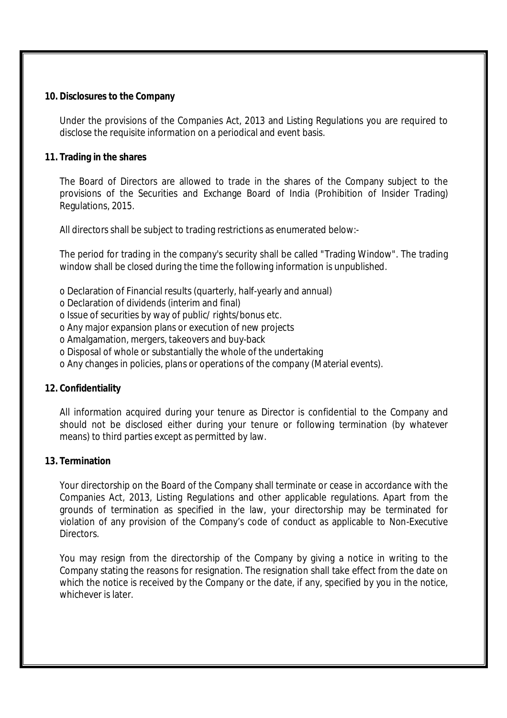#### **10. Disclosures to the Company**

Under the provisions of the Companies Act, 2013 and Listing Regulations you are required to disclose the requisite information on a periodical and event basis.

#### **11. Trading in the shares**

The Board of Directors are allowed to trade in the shares of the Company subject to the provisions of the Securities and Exchange Board of India (Prohibition of Insider Trading) Regulations, 2015.

All directors shall be subject to trading restrictions as enumerated below:-

The period for trading in the company's security shall be called "Trading Window". The trading window shall be closed during the time the following information is unpublished.

- o Declaration of Financial results (quarterly, half-yearly and annual)
- o Declaration of dividends (interim and final)
- o Issue of securities by way of public/ rights/bonus etc.
- o Any major expansion plans or execution of new projects
- o Amalgamation, mergers, takeovers and buy-back
- o Disposal of whole or substantially the whole of the undertaking
- o Any changes in policies, plans or operations of the company (Material events).

#### **12. Confidentiality**

All information acquired during your tenure as Director is confidential to the Company and should not be disclosed either during your tenure or following termination (by whatever means) to third parties except as permitted by law.

#### **13. Termination**

Your directorship on the Board of the Company shall terminate or cease in accordance with the Companies Act, 2013, Listing Regulations and other applicable regulations. Apart from the grounds of termination as specified in the law, your directorship may be terminated for violation of any provision of the Company's code of conduct as applicable to Non-Executive Directors.

You may resign from the directorship of the Company by giving a notice in writing to the Company stating the reasons for resignation. The resignation shall take effect from the date on which the notice is received by the Company or the date, if any, specified by you in the notice, whichever is later.